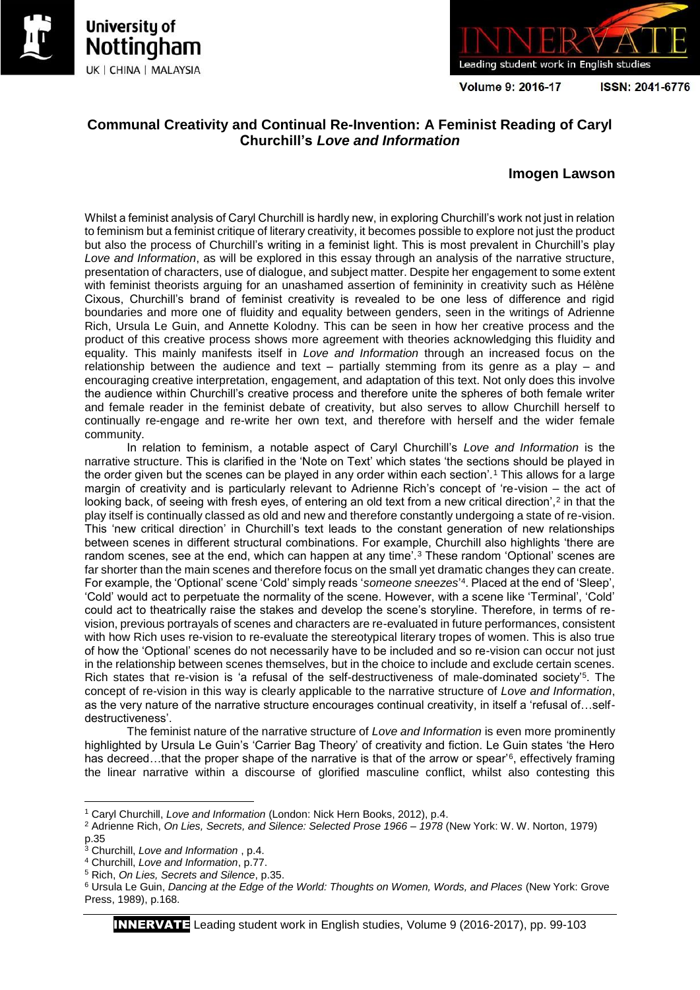



Volume 9: 2016-17

ISSN: 2041-6776

# **Communal Creativity and Continual Re-Invention: A Feminist Reading of Caryl Churchill's** *Love and Information*

# **Imogen Lawson**

Whilst a feminist analysis of Caryl Churchill is hardly new, in exploring Churchill's work not just in relation to feminism but a feminist critique of literary creativity, it becomes possible to explore not just the product but also the process of Churchill's writing in a feminist light. This is most prevalent in Churchill's play *Love and Information*, as will be explored in this essay through an analysis of the narrative structure, presentation of characters, use of dialogue, and subject matter. Despite her engagement to some extent with feminist theorists arguing for an unashamed assertion of femininity in creativity such as Hélène Cixous, Churchill's brand of feminist creativity is revealed to be one less of difference and rigid boundaries and more one of fluidity and equality between genders, seen in the writings of Adrienne Rich, Ursula Le Guin, and Annette Kolodny. This can be seen in how her creative process and the product of this creative process shows more agreement with theories acknowledging this fluidity and equality. This mainly manifests itself in *Love and Information* through an increased focus on the relationship between the audience and text – partially stemming from its genre as a play – and encouraging creative interpretation, engagement, and adaptation of this text. Not only does this involve the audience within Churchill's creative process and therefore unite the spheres of both female writer and female reader in the feminist debate of creativity, but also serves to allow Churchill herself to continually re-engage and re-write her own text, and therefore with herself and the wider female community.

In relation to feminism, a notable aspect of Caryl Churchill's *Love and Information* is the narrative structure. This is clarified in the 'Note on Text' which states 'the sections should be played in the order given but the scenes can be played in any order within each section'.<sup>1</sup> This allows for a large margin of creativity and is particularly relevant to Adrienne Rich's concept of 're-vision – the act of looking back, of seeing with fresh eyes, of entering an old text from a new critical direction',<sup>2</sup> in that the play itself is continually classed as old and new and therefore constantly undergoing a state of re-vision. This 'new critical direction' in Churchill's text leads to the constant generation of new relationships between scenes in different structural combinations. For example, Churchill also highlights 'there are random scenes, see at the end, which can happen at any time'.<sup>3</sup> These random 'Optional' scenes are far shorter than the main scenes and therefore focus on the small yet dramatic changes they can create. For example, the 'Optional' scene 'Cold' simply reads '*someone sneezes*' 4 . Placed at the end of 'Sleep', 'Cold' would act to perpetuate the normality of the scene. However, with a scene like 'Terminal', 'Cold' could act to theatrically raise the stakes and develop the scene's storyline. Therefore, in terms of revision, previous portrayals of scenes and characters are re-evaluated in future performances, consistent with how Rich uses re-vision to re-evaluate the stereotypical literary tropes of women. This is also true of how the 'Optional' scenes do not necessarily have to be included and so re-vision can occur not just in the relationship between scenes themselves, but in the choice to include and exclude certain scenes. Rich states that re-vision is 'a refusal of the self-destructiveness of male-dominated society<sup>'5</sup>. The concept of re-vision in this way is clearly applicable to the narrative structure of *Love and Information*, as the very nature of the narrative structure encourages continual creativity, in itself a 'refusal of…selfdestructiveness'.

The feminist nature of the narrative structure of *Love and Information* is even more prominently highlighted by Ursula Le Guin's 'Carrier Bag Theory' of creativity and fiction. Le Guin states 'the Hero has decreed...that the proper shape of the narrative is that of the arrow or spear'<sup>6</sup>, effectively framing the linear narrative within a discourse of glorified masculine conflict, whilst also contesting this

 $\overline{a}$ 

<sup>1</sup> Caryl Churchill, *Love and Information* (London: Nick Hern Books, 2012), p.4.

<sup>2</sup> Adrienne Rich, *On Lies, Secrets, and Silence: Selected Prose 1966 – 1978* (New York: W. W. Norton, 1979) p.35

<sup>3</sup> Churchill, *Love and Information* , p.4.

<sup>4</sup> Churchill, *Love and Information*, p.77.

<sup>5</sup> Rich, *On Lies, Secrets and Silence*, p.35.

<sup>6</sup> Ursula Le Guin, *Dancing at the Edge of the World: Thoughts on Women, Words, and Places* (New York: Grove Press, 1989), p.168.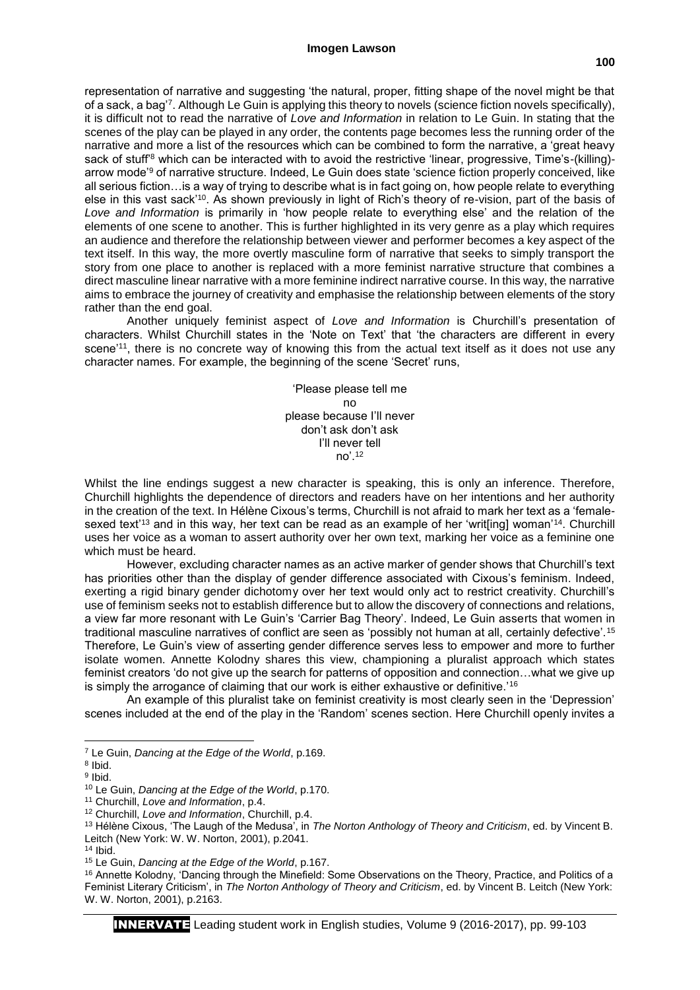representation of narrative and suggesting 'the natural, proper, fitting shape of the novel might be that of a sack, a bag'<sup>7</sup> . Although Le Guin is applying this theory to novels (science fiction novels specifically), it is difficult not to read the narrative of *Love and Information* in relation to Le Guin. In stating that the scenes of the play can be played in any order, the contents page becomes less the running order of the narrative and more a list of the resources which can be combined to form the narrative, a 'great heavy sack of stuff<sup>'8</sup> which can be interacted with to avoid the restrictive 'linear, progressive, Time's-(killing)arrow mode'<sup>9</sup> of narrative structure. Indeed, Le Guin does state 'science fiction properly conceived, like all serious fiction…is a way of trying to describe what is in fact going on, how people relate to everything else in this vast sack'<sup>10</sup>. As shown previously in light of Rich's theory of re-vision, part of the basis of *Love and Information* is primarily in 'how people relate to everything else' and the relation of the elements of one scene to another. This is further highlighted in its very genre as a play which requires an audience and therefore the relationship between viewer and performer becomes a key aspect of the text itself. In this way, the more overtly masculine form of narrative that seeks to simply transport the story from one place to another is replaced with a more feminist narrative structure that combines a direct masculine linear narrative with a more feminine indirect narrative course. In this way, the narrative aims to embrace the journey of creativity and emphasise the relationship between elements of the story rather than the end goal.

Another uniquely feminist aspect of *Love and Information* is Churchill's presentation of characters. Whilst Churchill states in the 'Note on Text' that 'the characters are different in every scene<sup>'11</sup>, there is no concrete way of knowing this from the actual text itself as it does not use any character names. For example, the beginning of the scene 'Secret' runs,

> 'Please please tell me no please because I'll never don't ask don't ask I'll never tell no'.<sup>12</sup>

Whilst the line endings suggest a new character is speaking, this is only an inference. Therefore, Churchill highlights the dependence of directors and readers have on her intentions and her authority in the creation of the text. In Hélène Cixous's terms, Churchill is not afraid to mark her text as a 'femalesexed text<sup>'13</sup> and in this way, her text can be read as an example of her 'writ[ing] woman'<sup>14</sup>. Churchill uses her voice as a woman to assert authority over her own text, marking her voice as a feminine one which must be heard.

However, excluding character names as an active marker of gender shows that Churchill's text has priorities other than the display of gender difference associated with Cixous's feminism. Indeed, exerting a rigid binary gender dichotomy over her text would only act to restrict creativity. Churchill's use of feminism seeks not to establish difference but to allow the discovery of connections and relations, a view far more resonant with Le Guin's 'Carrier Bag Theory'. Indeed, Le Guin asserts that women in traditional masculine narratives of conflict are seen as 'possibly not human at all, certainly defective'.<sup>15</sup> Therefore, Le Guin's view of asserting gender difference serves less to empower and more to further isolate women. Annette Kolodny shares this view, championing a pluralist approach which states feminist creators 'do not give up the search for patterns of opposition and connection...what we give up is simply the arrogance of claiming that our work is either exhaustive or definitive.'<sup>16</sup>

An example of this pluralist take on feminist creativity is most clearly seen in the 'Depression' scenes included at the end of the play in the 'Random' scenes section. Here Churchill openly invites a

 $\overline{a}$ <sup>7</sup> Le Guin, *Dancing at the Edge of the World*, p.169.

<sup>8</sup> Ibid.

<sup>&</sup>lt;sup>9</sup> Ibid.

<sup>10</sup> Le Guin, *Dancing at the Edge of the World*, p.170.

<sup>11</sup> Churchill, *Love and Information*, p.4.

<sup>12</sup> Churchill, *Love and Information*, Churchill, p.4.

<sup>13</sup> Hélène Cixous, 'The Laugh of the Medusa', in *The Norton Anthology of Theory and Criticism*, ed. by Vincent B. Leitch (New York: W. W. Norton, 2001), p.2041.

 $14$  Ibid.

<sup>15</sup> Le Guin, *Dancing at the Edge of the World*, p.167.

<sup>16</sup> Annette Kolodny, 'Dancing through the Minefield: Some Observations on the Theory, Practice, and Politics of a Feminist Literary Criticism', in *The Norton Anthology of Theory and Criticism*, ed. by Vincent B. Leitch (New York: W. W. Norton, 2001), p.2163.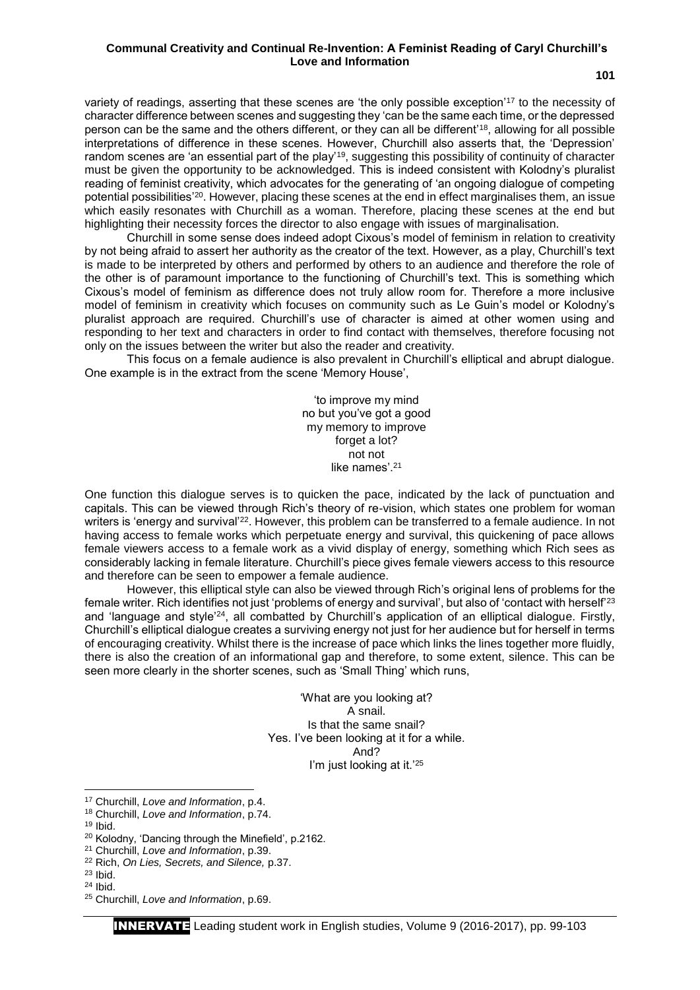#### **Communal Creativity and Continual Re-Invention: A Feminist Reading of Caryl Churchill's Love and Information**

variety of readings, asserting that these scenes are 'the only possible exception'<sup>17</sup> to the necessity of character difference between scenes and suggesting they 'can be the same each time, or the depressed person can be the same and the others different, or they can all be different'<sup>18</sup>, allowing for all possible interpretations of difference in these scenes. However, Churchill also asserts that, the 'Depression' random scenes are 'an essential part of the play'<sup>19</sup>, suggesting this possibility of continuity of character must be given the opportunity to be acknowledged. This is indeed consistent with Kolodny's pluralist reading of feminist creativity, which advocates for the generating of 'an ongoing dialogue of competing potential possibilities'<sup>20</sup>. However, placing these scenes at the end in effect marginalises them, an issue which easily resonates with Churchill as a woman. Therefore, placing these scenes at the end but highlighting their necessity forces the director to also engage with issues of marginalisation.

Churchill in some sense does indeed adopt Cixous's model of feminism in relation to creativity by not being afraid to assert her authority as the creator of the text. However, as a play, Churchill's text is made to be interpreted by others and performed by others to an audience and therefore the role of the other is of paramount importance to the functioning of Churchill's text. This is something which Cixous's model of feminism as difference does not truly allow room for. Therefore a more inclusive model of feminism in creativity which focuses on community such as Le Guin's model or Kolodny's pluralist approach are required. Churchill's use of character is aimed at other women using and responding to her text and characters in order to find contact with themselves, therefore focusing not only on the issues between the writer but also the reader and creativity.

This focus on a female audience is also prevalent in Churchill's elliptical and abrupt dialogue. One example is in the extract from the scene 'Memory House',

> 'to improve my mind no but you've got a good my memory to improve forget a lot? not not like names'.<sup>21</sup>

One function this dialogue serves is to quicken the pace, indicated by the lack of punctuation and capitals. This can be viewed through Rich's theory of re-vision, which states one problem for woman writers is 'energy and survival<sup>'22</sup>. However, this problem can be transferred to a female audience. In not having access to female works which perpetuate energy and survival, this quickening of pace allows female viewers access to a female work as a vivid display of energy, something which Rich sees as considerably lacking in female literature. Churchill's piece gives female viewers access to this resource and therefore can be seen to empower a female audience.

However, this elliptical style can also be viewed through Rich's original lens of problems for the female writer. Rich identifies not just 'problems of energy and survival', but also of 'contact with herself'<sup>23</sup> and 'language and style'<sup>24</sup>, all combatted by Churchill's application of an elliptical dialogue. Firstly, Churchill's elliptical dialogue creates a surviving energy not just for her audience but for herself in terms of encouraging creativity. Whilst there is the increase of pace which links the lines together more fluidly, there is also the creation of an informational gap and therefore, to some extent, silence. This can be seen more clearly in the shorter scenes, such as 'Small Thing' which runs,

> 'What are you looking at? A snail. Is that the same snail? Yes. I've been looking at it for a while. And? I'm just looking at it.<sup>'25</sup>

**.** 

<sup>17</sup> Churchill, *Love and Information*, p.4.

<sup>18</sup> Churchill, *Love and Information*, p.74.

 $19$  Ibid.

<sup>20</sup> Kolodny, 'Dancing through the Minefield', p.2162.

<sup>21</sup> Churchill, *Love and Information*, p.39.

<sup>22</sup> Rich, *On Lies, Secrets, and Silence,* p.37.

 $23$  Ibid.

<sup>24</sup> Ibid.

<sup>25</sup> Churchill, *Love and Information*, p.69.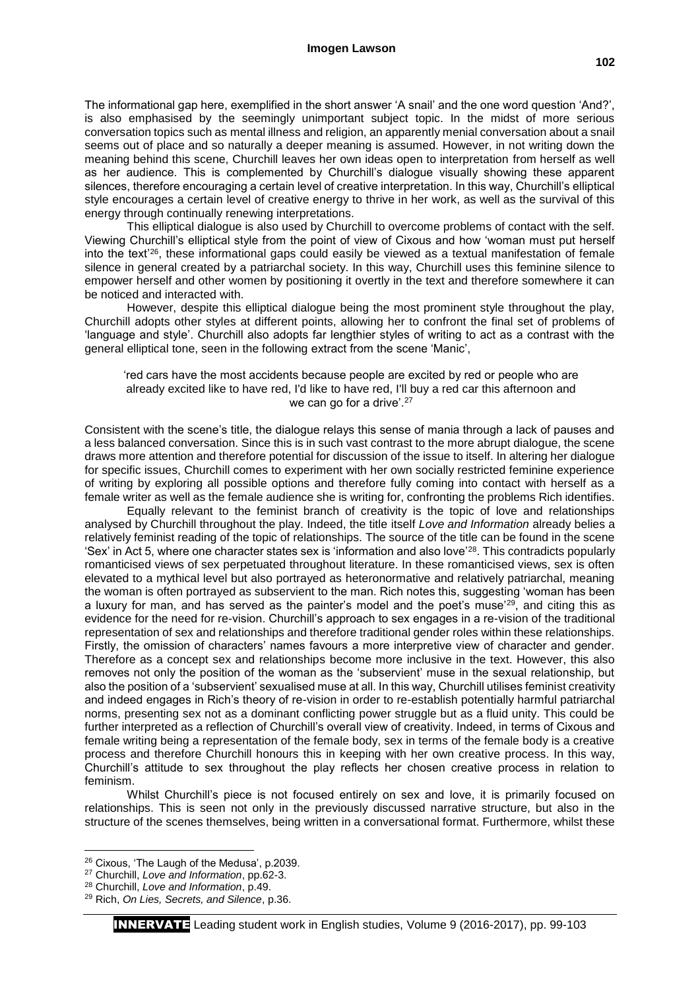The informational gap here, exemplified in the short answer 'A snail' and the one word question 'And?', is also emphasised by the seemingly unimportant subject topic. In the midst of more serious conversation topics such as mental illness and religion, an apparently menial conversation about a snail seems out of place and so naturally a deeper meaning is assumed. However, in not writing down the meaning behind this scene, Churchill leaves her own ideas open to interpretation from herself as well as her audience. This is complemented by Churchill's dialogue visually showing these apparent silences, therefore encouraging a certain level of creative interpretation. In this way, Churchill's elliptical style encourages a certain level of creative energy to thrive in her work, as well as the survival of this energy through continually renewing interpretations.

This elliptical dialogue is also used by Churchill to overcome problems of contact with the self. Viewing Churchill's elliptical style from the point of view of Cixous and how 'woman must put herself into the text'<sup>26</sup>, these informational gaps could easily be viewed as a textual manifestation of female silence in general created by a patriarchal society. In this way, Churchill uses this feminine silence to empower herself and other women by positioning it overtly in the text and therefore somewhere it can be noticed and interacted with.

However, despite this elliptical dialogue being the most prominent style throughout the play, Churchill adopts other styles at different points, allowing her to confront the final set of problems of 'language and style'. Churchill also adopts far lengthier styles of writing to act as a contrast with the general elliptical tone, seen in the following extract from the scene 'Manic',

'red cars have the most accidents because people are excited by red or people who are already excited like to have red, I'd like to have red, I'll buy a red car this afternoon and we can go for a drive'.<sup>27</sup>

Consistent with the scene's title, the dialogue relays this sense of mania through a lack of pauses and a less balanced conversation. Since this is in such vast contrast to the more abrupt dialogue, the scene draws more attention and therefore potential for discussion of the issue to itself. In altering her dialogue for specific issues, Churchill comes to experiment with her own socially restricted feminine experience of writing by exploring all possible options and therefore fully coming into contact with herself as a female writer as well as the female audience she is writing for, confronting the problems Rich identifies.

Equally relevant to the feminist branch of creativity is the topic of love and relationships analysed by Churchill throughout the play. Indeed, the title itself *Love and Information* already belies a relatively feminist reading of the topic of relationships. The source of the title can be found in the scene 'Sex' in Act 5, where one character states sex is 'information and also love'<sup>28</sup>. This contradicts popularly romanticised views of sex perpetuated throughout literature. In these romanticised views, sex is often elevated to a mythical level but also portrayed as heteronormative and relatively patriarchal, meaning the woman is often portrayed as subservient to the man. Rich notes this, suggesting 'woman has been a luxury for man, and has served as the painter's model and the poet's muse'<sup>29</sup>, and citing this as evidence for the need for re-vision. Churchill's approach to sex engages in a re-vision of the traditional representation of sex and relationships and therefore traditional gender roles within these relationships. Firstly, the omission of characters' names favours a more interpretive view of character and gender. Therefore as a concept sex and relationships become more inclusive in the text. However, this also removes not only the position of the woman as the 'subservient' muse in the sexual relationship, but also the position of a 'subservient' sexualised muse at all. In this way, Churchill utilises feminist creativity and indeed engages in Rich's theory of re-vision in order to re-establish potentially harmful patriarchal norms, presenting sex not as a dominant conflicting power struggle but as a fluid unity. This could be further interpreted as a reflection of Churchill's overall view of creativity. Indeed, in terms of Cixous and female writing being a representation of the female body, sex in terms of the female body is a creative process and therefore Churchill honours this in keeping with her own creative process. In this way, Churchill's attitude to sex throughout the play reflects her chosen creative process in relation to feminism.

Whilst Churchill's piece is not focused entirely on sex and love, it is primarily focused on relationships. This is seen not only in the previously discussed narrative structure, but also in the structure of the scenes themselves, being written in a conversational format. Furthermore, whilst these

**.** 

<sup>26</sup> Cixous, 'The Laugh of the Medusa', p.2039.

<sup>27</sup> Churchill, *Love and Information*, pp.62-3.

<sup>28</sup> Churchill, *Love and Information*, p.49.

<sup>29</sup> Rich, *On Lies, Secrets, and Silence*, p.36.